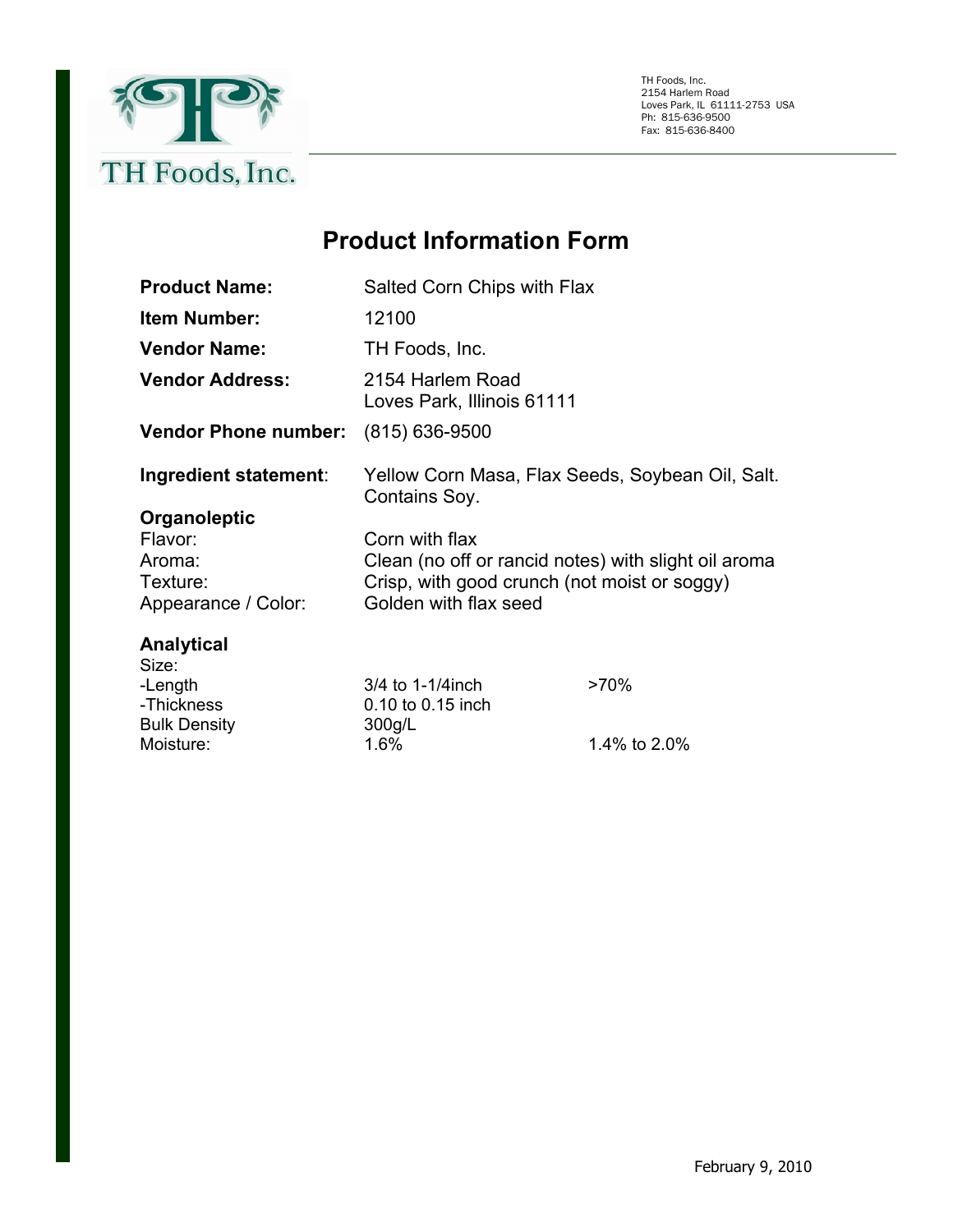

TH Foods, Inc. 2154 Harlem Road Loves Park, IL 61111-2753 USA Ph: 815-636-9500 Fax: 815-636-8400

## **Product Information Form**

| <b>Product Name:</b>                                                 | Salted Corn Chips with Flax                                                                                                                     |              |
|----------------------------------------------------------------------|-------------------------------------------------------------------------------------------------------------------------------------------------|--------------|
| <b>Item Number:</b>                                                  | 12100                                                                                                                                           |              |
| <b>Vendor Name:</b>                                                  | TH Foods, Inc.                                                                                                                                  |              |
| <b>Vendor Address:</b>                                               | 2154 Harlem Road<br>Loves Park, Illinois 61111                                                                                                  |              |
| <b>Vendor Phone number:</b>                                          | (815) 636-9500                                                                                                                                  |              |
| Ingredient statement:                                                | Yellow Corn Masa, Flax Seeds, Soybean Oil, Salt.<br>Contains Soy.                                                                               |              |
| Organoleptic<br>Flavor:<br>Aroma:<br>Texture:<br>Appearance / Color: | Corn with flax<br>Clean (no off or rancid notes) with slight oil aroma<br>Crisp, with good crunch (not moist or soggy)<br>Golden with flax seed |              |
| Analytical<br>Size:<br>-Length<br>-Thickness<br><b>Bulk Density</b>  | 3/4 to 1-1/4 inch<br>0.10 to 0.15 inch<br>300g/L                                                                                                | $>70\%$      |
| Moisture:                                                            | 1.6%                                                                                                                                            | 1.4% to 2.0% |